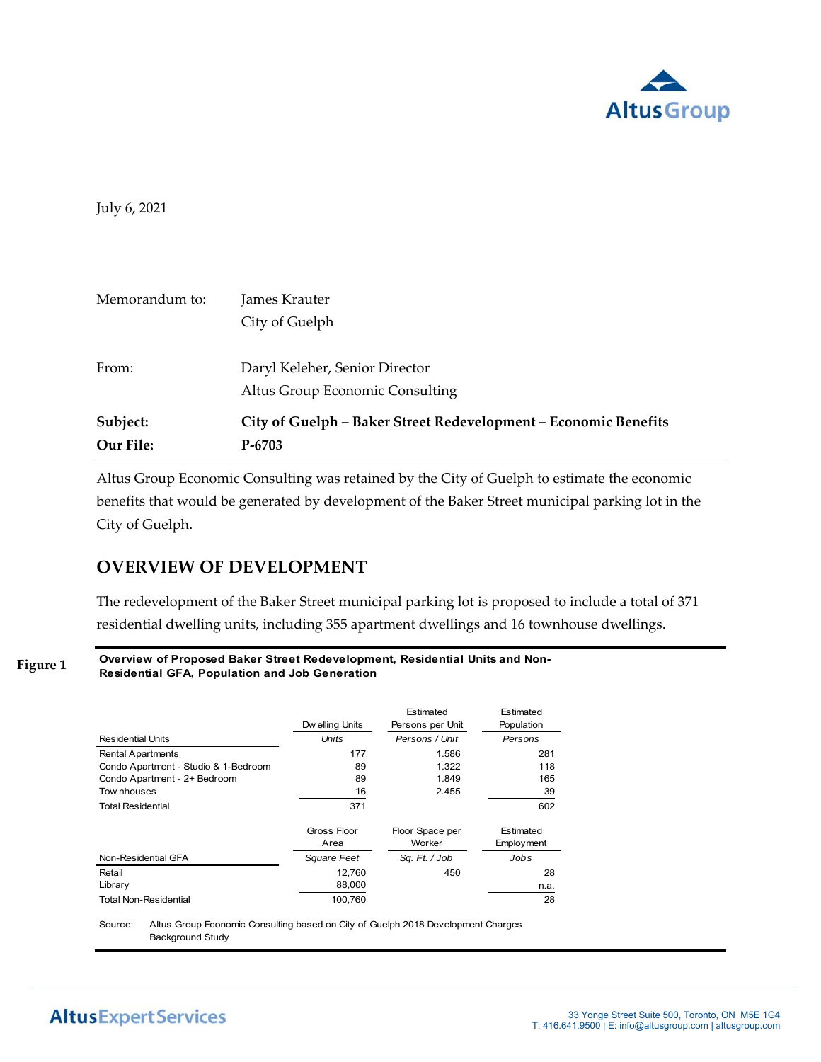

July 6, 2021

| Memorandum to:        | James Krauter<br>City of Guelph                                             |
|-----------------------|-----------------------------------------------------------------------------|
| From:                 | Daryl Keleher, Senior Director<br>Altus Group Economic Consulting           |
| Subject:<br>Our File: | City of Guelph - Baker Street Redevelopment - Economic Benefits<br>$P-6703$ |

Altus Group Economic Consulting was retained by the City of Guelph to estimate the economic benefits that would be generated by development of the Baker Street municipal parking lot in the City of Guelph.

# **OVERVIEW OF DEVELOPMENT**

The redevelopment of the Baker Street municipal parking lot is proposed to include a total of 371 residential dwelling units, including 355 apartment dwellings and 16 townhouse dwellings.

**Figure 1**

**Overview of Proposed Baker Street Redevelopment, Residential Units and Non-Residential GFA, Population and Job Generation**

| <b>Residential Units</b>             | Dw elling Units<br>Units | Estimated<br>Persons per Unit<br>Persons / Unit | Estimated<br>Population<br>Persons |
|--------------------------------------|--------------------------|-------------------------------------------------|------------------------------------|
|                                      |                          |                                                 |                                    |
| <b>Rental Apartments</b>             | 177                      | 1.586                                           | 281                                |
| Condo Apartment - Studio & 1-Bedroom | 89                       | 1.322                                           | 118                                |
| Condo Apartment - 2+ Bedroom         | 89                       | 1.849                                           | 165                                |
| Tow nhouses                          | 16                       | 2.455                                           | 39                                 |
| <b>Total Residential</b>             | 371                      |                                                 | 602                                |
|                                      | Gross Floor              | Floor Space per                                 | Estimated                          |
|                                      | Area                     | Worker                                          | Employment                         |
| Non-Residential GFA                  | Square Feet              | Sq. Ft. / Job                                   | Jobs                               |
| Retail                               | 12.760                   | 450                                             | 28                                 |
| Library                              | 88,000                   |                                                 | n.a.                               |
| <b>Total Non-Residential</b>         | 100,760                  |                                                 | 28                                 |

Source: Altus Group Economic Consulting based on City of Guelph 2018 Development Charges Background Study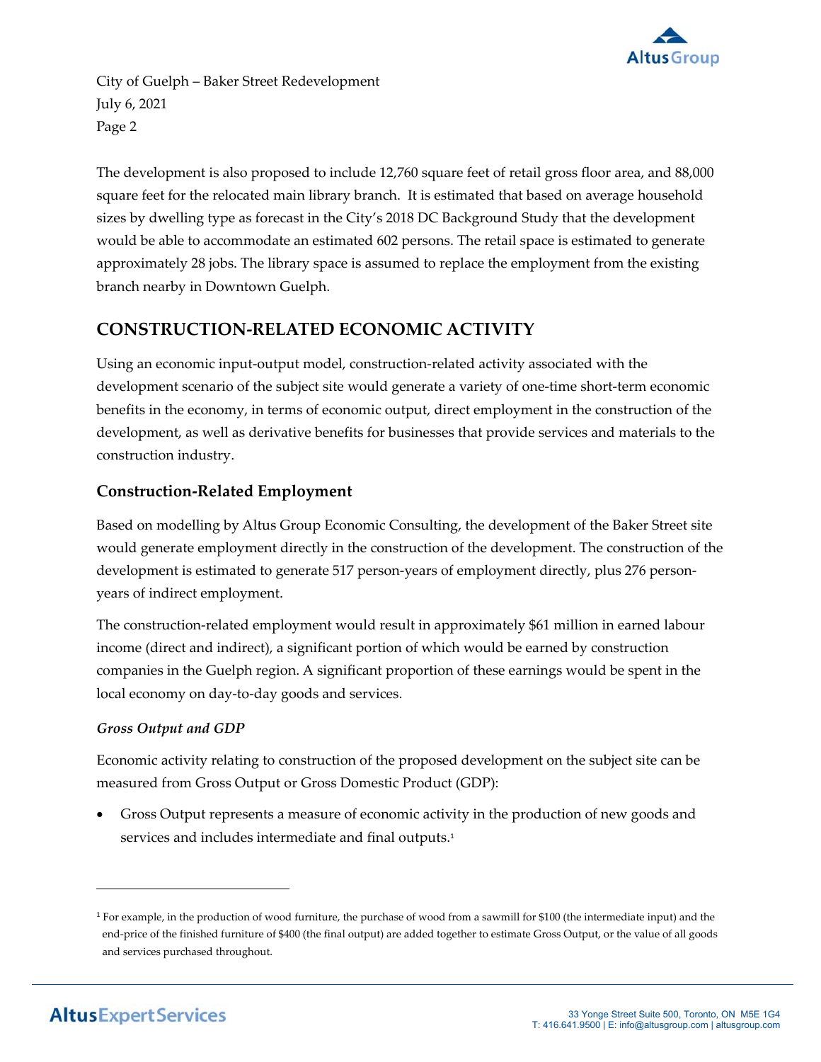

The development is also proposed to include 12,760 square feet of retail gross floor area, and 88,000 square feet for the relocated main library branch. It is estimated that based on average household sizes by dwelling type as forecast in the City's 2018 DC Background Study that the development would be able to accommodate an estimated 602 persons. The retail space is estimated to generate approximately 28 jobs. The library space is assumed to replace the employment from the existing branch nearby in Downtown Guelph.

# **CONSTRUCTION‐RELATED ECONOMIC ACTIVITY**

Using an economic input‐output model, construction‐related activity associated with the development scenario of the subject site would generate a variety of one-time short-term economic benefits in the economy, in terms of economic output, direct employment in the construction of the development, as well as derivative benefits for businesses that provide services and materials to the construction industry.

# **Construction‐Related Employment**

Based on modelling by Altus Group Economic Consulting, the development of the Baker Street site would generate employment directly in the construction of the development. The construction of the development is estimated to generate 517 person-years of employment directly, plus 276 personyears of indirect employment.

The construction‐related employment would result in approximately \$61 million in earned labour income (direct and indirect), a significant portion of which would be earned by construction companies in the Guelph region. A significant proportion of these earnings would be spent in the local economy on day‐to‐day goods and services.

# *Gross Output and GDP*

Economic activity relating to construction of the proposed development on the subject site can be measured from Gross Output or Gross Domestic Product (GDP):

 Gross Output represents a measure of economic activity in the production of new goods and services and includes intermediate and final outputs.<sup>1</sup>

 $1$  For example, in the production of wood furniture, the purchase of wood from a sawmill for \$100 (the intermediate input) and the end‐price of the finished furniture of \$400 (the final output) are added together to estimate Gross Output, or the value of all goods and services purchased throughout.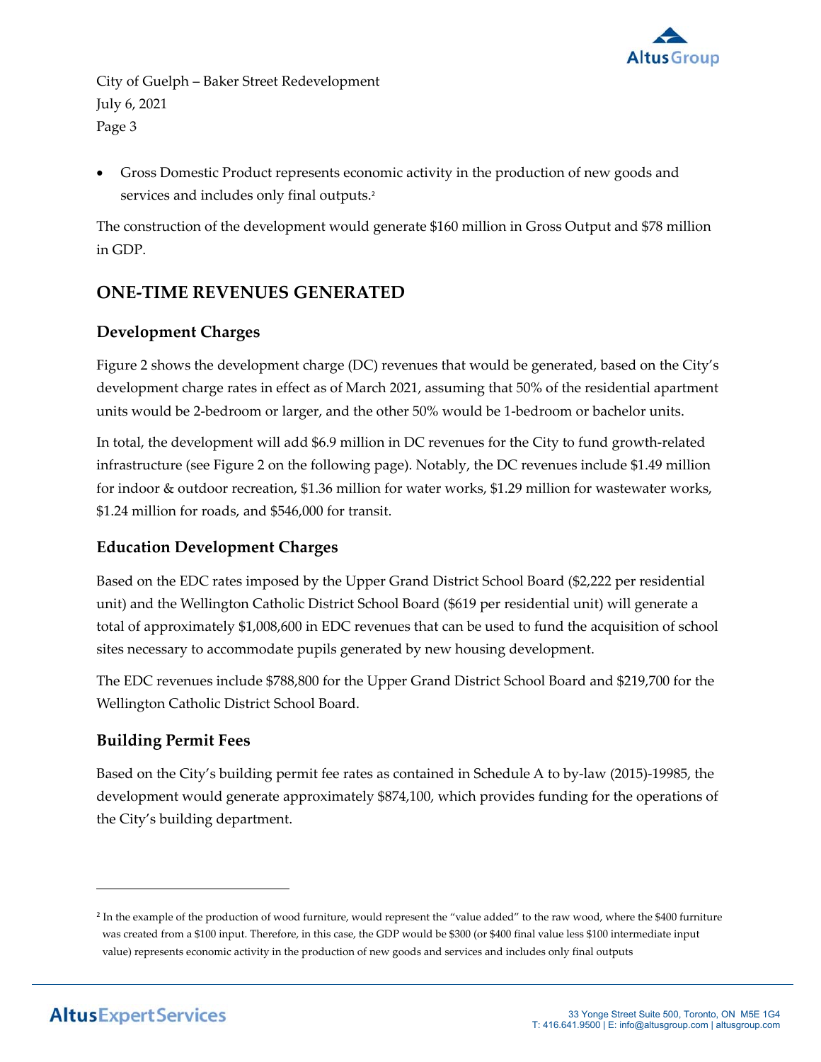

 Gross Domestic Product represents economic activity in the production of new goods and services and includes only final outputs.<sup>2</sup>

The construction of the development would generate \$160 million in Gross Output and \$78 million in GDP.

# **ONE‐TIME REVENUES GENERATED**

# **Development Charges**

Figure 2 shows the development charge (DC) revenues that would be generated, based on the City's development charge rates in effect as of March 2021, assuming that 50% of the residential apartment units would be 2‐bedroom or larger, and the other 50% would be 1‐bedroom or bachelor units.

In total, the development will add \$6.9 million in DC revenues for the City to fund growth‐related infrastructure (see Figure 2 on the following page). Notably, the DC revenues include \$1.49 million for indoor & outdoor recreation, \$1.36 million for water works, \$1.29 million for wastewater works, \$1.24 million for roads, and \$546,000 for transit.

# **Education Development Charges**

Based on the EDC rates imposed by the Upper Grand District School Board (\$2,222 per residential unit) and the Wellington Catholic District School Board (\$619 per residential unit) will generate a total of approximately \$1,008,600 in EDC revenues that can be used to fund the acquisition of school sites necessary to accommodate pupils generated by new housing development.

The EDC revenues include \$788,800 for the Upper Grand District School Board and \$219,700 for the Wellington Catholic District School Board.

# **Building Permit Fees**

Based on the City's building permit fee rates as contained in Schedule A to by‐law (2015)‐19985, the development would generate approximately \$874,100, which provides funding for the operations of the City's building department.

<sup>&</sup>lt;sup>2</sup> In the example of the production of wood furniture, would represent the "value added" to the raw wood, where the \$400 furniture was created from a \$100 input. Therefore, in this case, the GDP would be \$300 (or \$400 final value less \$100 intermediate input value) represents economic activity in the production of new goods and services and includes only final outputs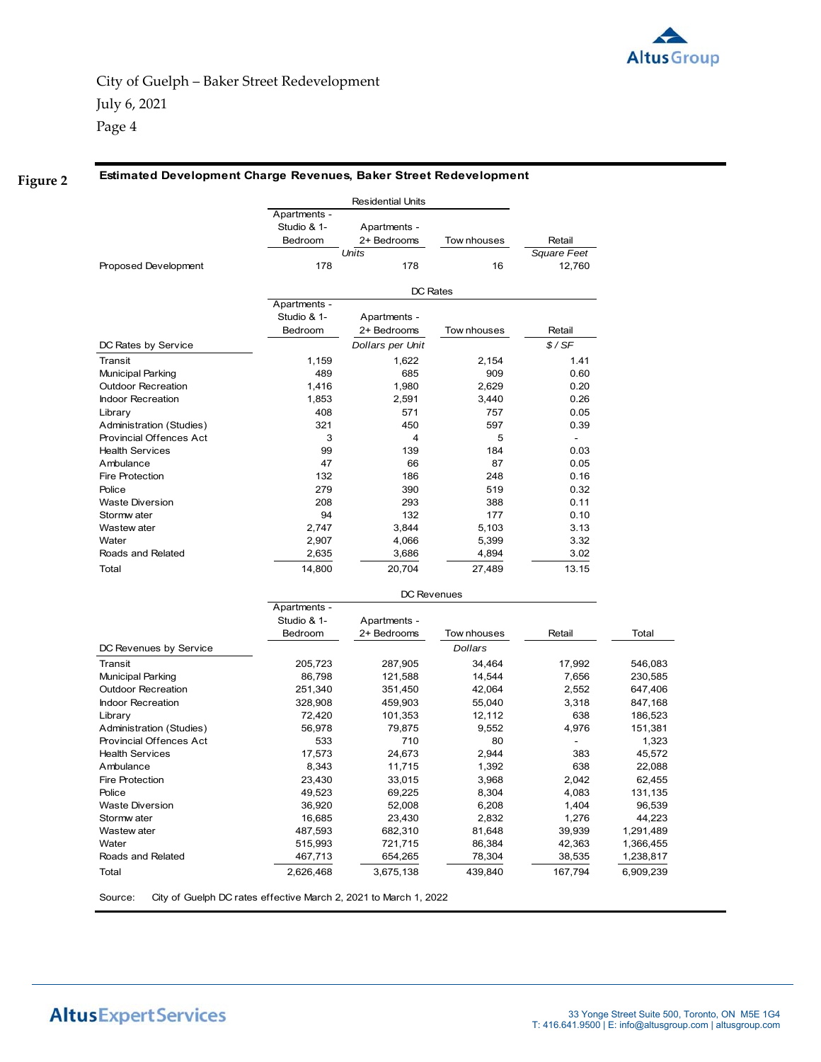

Page 4

**Figure 2**

**Estimated Development Charge Revenues, Baker Street Redevelopment**

|                           |              | <b>Residential Units</b> |                |                              |         |
|---------------------------|--------------|--------------------------|----------------|------------------------------|---------|
|                           | Apartments - |                          |                |                              |         |
|                           | Studio & 1-  | Apartments -             |                |                              |         |
|                           | Bedroom      | 2+ Bedrooms              | Tow nhouses    | Retail                       |         |
|                           |              | Units                    |                | Square Feet                  |         |
| Proposed Development      | 178          | 178                      | 16             | 12,760                       |         |
|                           |              | DC Rates                 |                |                              |         |
|                           | Apartments - |                          |                |                              |         |
|                           | Studio & 1-  | Apartments -             |                |                              |         |
|                           | Bedroom      | 2+ Bedrooms              | Tow nhouses    | Retail                       |         |
| DC Rates by Service       |              | Dollars per Unit         |                | \$/SF                        |         |
| Transit                   | 1,159        | 1,622                    | 2,154          | 1.41                         |         |
| <b>Municipal Parking</b>  | 489          | 685                      | 909            | 0.60                         |         |
| <b>Outdoor Recreation</b> | 1,416        | 1,980                    | 2,629          | 0.20                         |         |
| <b>Indoor Recreation</b>  | 1,853        | 2,591                    | 3,440          | 0.26                         |         |
| Library                   | 408          | 571                      | 757            | 0.05                         |         |
| Administration (Studies)  | 321          | 450                      | 597            | 0.39                         |         |
| Provincial Offences Act   | 3            | 4                        | 5              | $\blacksquare$               |         |
| <b>Health Services</b>    | 99           | 139                      | 184            | 0.03                         |         |
| Ambulance                 | 47           | 66                       | 87             | 0.05                         |         |
| <b>Fire Protection</b>    | 132          | 186                      | 248            | 0.16                         |         |
| Police                    | 279          | 390                      | 519            | 0.32                         |         |
| <b>Waste Diversion</b>    | 208          | 293                      | 388            | 0.11                         |         |
| Stormw ater               | 94           | 132                      | 177            | 0.10                         |         |
| Wastew ater               | 2,747        | 3.844                    | 5,103          | 3.13                         |         |
| Water                     | 2,907        | 4,066                    | 5,399          | 3.32                         |         |
| Roads and Related         | 2,635        | 3,686                    | 4,894          | 3.02                         |         |
| Total                     | 14,800       | 20,704                   | 27,489         | 13.15                        |         |
|                           |              | <b>DC Revenues</b>       |                |                              |         |
|                           | Apartments - |                          |                |                              |         |
|                           | Studio & 1-  | Apartments -             |                |                              |         |
|                           | Bedroom      | 2+ Bedrooms              | Tow nhouses    | Retail                       | Total   |
| DC Revenues by Service    |              |                          | <b>Dollars</b> |                              |         |
| Transit                   | 205,723      | 287,905                  | 34,464         | 17,992                       | 546,083 |
| <b>Municipal Parking</b>  | 86,798       | 121,588                  | 14,544         | 7,656                        | 230,585 |
| <b>Outdoor Recreation</b> | 251,340      | 351,450                  | 42,064         | 2,552                        | 647,406 |
| <b>Indoor Recreation</b>  | 328,908      | 459,903                  | 55,040         | 3,318                        | 847,168 |
| Library                   | 72,420       | 101,353                  | 12,112         | 638                          | 186,523 |
| Administration (Studies)  | 56,978       | 79,875                   | 9,552          | 4,976                        | 151,381 |
| Provincial Offences Act   | 533          | 710                      | 80             | $\qquad \qquad \blacksquare$ | 1,323   |
|                           |              |                          |                |                              |         |

Health Services 27,573 24,673 2,944 383 45,572 Ambulance 8,343 11,715 1,392 638 22,088 Fire Protection 23,430 33,015 3,968 2,042 62,455 Police 49,523 69,225 8,304 4,083 131, 135 Waste Diversion 36,920 52,008 6,208 1,404 96,539 Stormw ater 16,685 23,430 2,832 1,276 44,223 Wastew ater 487,593 682,310 81,648 39,939 1, 291,489 Water 515,993 721,715 86,384 42,363 1, 366,455 Roads and Related **167,713** 654,265 78,304 38,535 1,238,817 Total 2,626,468 3,675,138 439,840 167,794 6,909,239

Source: City of Guelph DC rates effective March 2, 2021 to March 1, 2022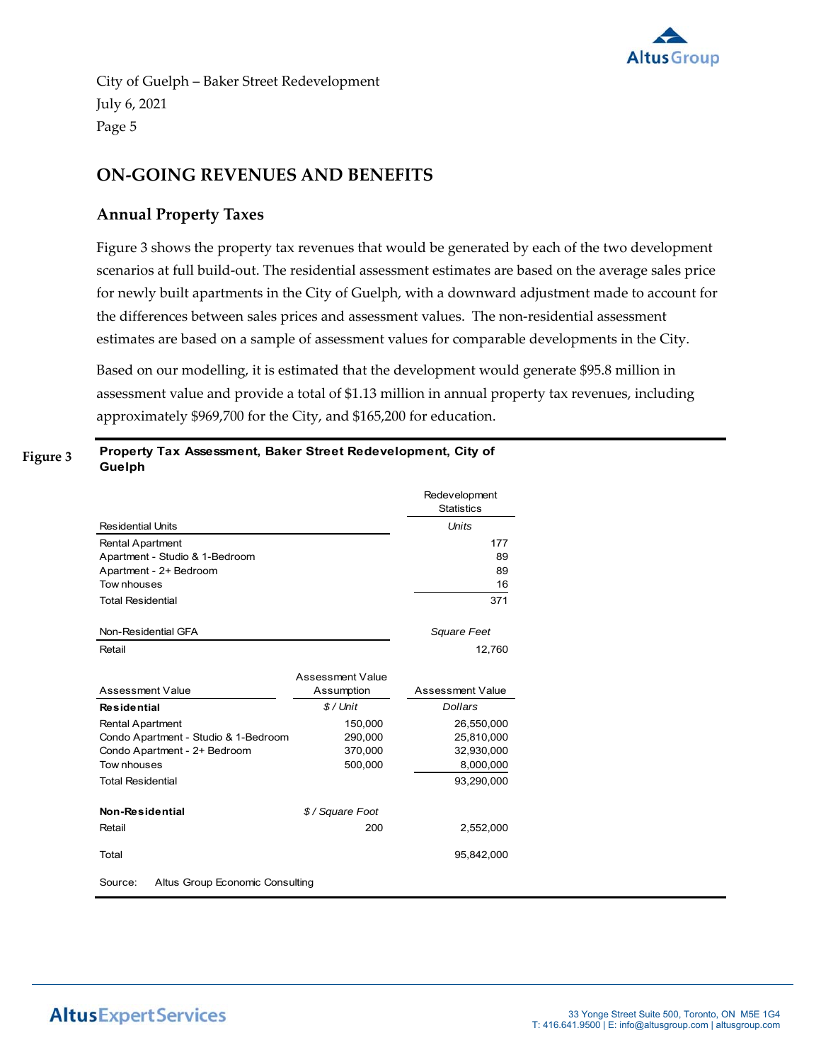

# **ON‐GOING REVENUES AND BENEFITS**

### **Annual Property Taxes**

Figure 3 shows the property tax revenues that would be generated by each of the two development scenarios at full build-out. The residential assessment estimates are based on the average sales price for newly built apartments in the City of Guelph, with a downward adjustment made to account for the differences between sales prices and assessment values. The non-residential assessment estimates are based on a sample of assessment values for comparable developments in the City.

Based on our modelling, it is estimated that the development would generate \$95.8 million in assessment value and provide a total of \$1.13 million in annual property tax revenues, including approximately \$969,700 for the City, and \$165,200 for education.

| Figure 3 | Property Tax Assessment, Baker Street Redevelopment, City of |
|----------|--------------------------------------------------------------|
|          | Guelph                                                       |

|                                            |                  | Redevelopment<br><b>Statistics</b> |
|--------------------------------------------|------------------|------------------------------------|
| <b>Residential Units</b>                   |                  | <i>Units</i>                       |
| <b>Rental Apartment</b>                    |                  | 177                                |
| Apartment - Studio & 1-Bedroom             |                  | 89                                 |
| Apartment - 2+ Bedroom                     |                  | 89                                 |
| Tow nhouses                                |                  | 16                                 |
| <b>Total Residential</b>                   |                  | 371                                |
|                                            |                  |                                    |
| Non-Residential GFA                        |                  | Square Feet                        |
| Retail                                     |                  | 12,760                             |
|                                            |                  |                                    |
|                                            | Assessment Value |                                    |
| Assessment Value                           | Assumption       | Assessment Value                   |
| <b>Residential</b>                         | $$/$ Unit        | <b>Dollars</b>                     |
| <b>Rental Apartment</b>                    | 150,000          | 26,550,000                         |
| Condo Apartment - Studio & 1-Bedroom       | 290,000          | 25,810,000                         |
| Condo Apartment - 2+ Bedroom               | 370,000          | 32,930,000                         |
| Tow nhouses                                | 500,000          | 8,000,000                          |
| <b>Total Residential</b>                   |                  | 93,290,000                         |
|                                            |                  |                                    |
| Non-Residential                            | \$/Square Foot   |                                    |
| Retail                                     | 200              | 2,552,000                          |
| Total                                      |                  | 95,842,000                         |
| Source:<br>Altus Group Economic Consulting |                  |                                    |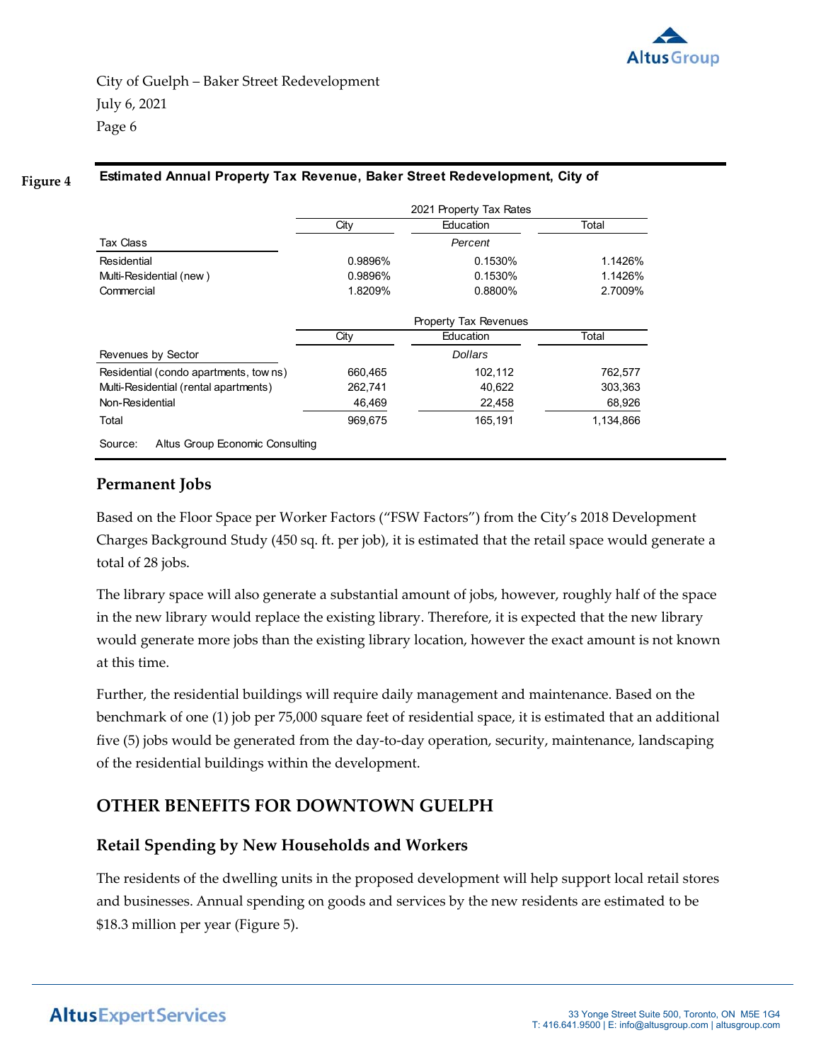

#### **Estimated Annual Property Tax Revenue, Baker Street Redevelopment, City of Figure 4**

|                                            | 2021 Property Tax Rates |                |           |
|--------------------------------------------|-------------------------|----------------|-----------|
|                                            | City                    | Education      | Total     |
| <b>Tax Class</b>                           |                         | Percent        |           |
| Residential                                | 0.9896%                 | 0.1530%        | 1.1426%   |
| Multi-Residential (new)                    | 0.9896%                 | 0.1530%        | 1.1426%   |
| Commercial                                 | 1.8209%                 | 0.8800%        | 2.7009%   |
|                                            | Property Tax Revenues   |                |           |
|                                            | City                    | Education      | Total     |
| Revenues by Sector                         |                         | <b>Dollars</b> |           |
| Residential (condo apartments, towns)      | 660,465                 | 102,112        | 762,577   |
| Multi-Residential (rental apartments)      | 262,741                 | 40,622         | 303,363   |
| Non-Residential                            | 46,469                  | 22,458         | 68,926    |
| Total                                      | 969.675                 | 165.191        | 1,134,866 |
| Altus Group Economic Consulting<br>Source: |                         |                |           |

#### **Permanent Jobs**

Based on the Floor Space per Worker Factors ("FSW Factors") from the City's 2018 Development Charges Background Study (450 sq. ft. per job), it is estimated that the retail space would generate a total of 28 jobs.

The library space will also generate a substantial amount of jobs, however, roughly half of the space in the new library would replace the existing library. Therefore, it is expected that the new library would generate more jobs than the existing library location, however the exact amount is not known at this time.

Further, the residential buildings will require daily management and maintenance. Based on the benchmark of one (1) job per 75,000 square feet of residential space, it is estimated that an additional five (5) jobs would be generated from the day‐to‐day operation, security, maintenance, landscaping of the residential buildings within the development.

# **OTHER BENEFITS FOR DOWNTOWN GUELPH**

# **Retail Spending by New Households and Workers**

The residents of the dwelling units in the proposed development will help support local retail stores and businesses. Annual spending on goods and services by the new residents are estimated to be \$18.3 million per year (Figure 5).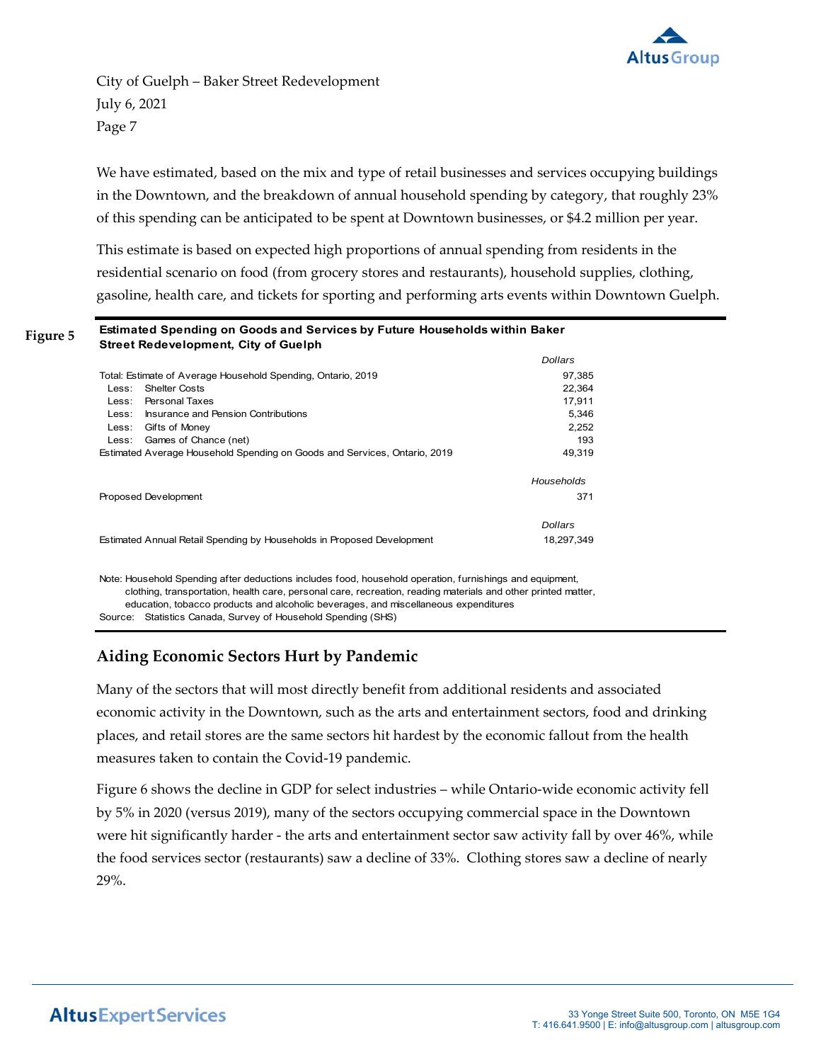

We have estimated, based on the mix and type of retail businesses and services occupying buildings in the Downtown, and the breakdown of annual household spending by category, that roughly 23% of this spending can be anticipated to be spent at Downtown businesses, or \$4.2 million per year.

This estimate is based on expected high proportions of annual spending from residents in the residential scenario on food (from grocery stores and restaurants), household supplies, clothing, gasoline, health care, and tickets for sporting and performing arts events within Downtown Guelph.

#### **Estimated Spending on Goods and Services by Future Households within Baker Street Redevelopment, City of Guelph Figure 5**

|                                                                           | <b>Dollars</b> |
|---------------------------------------------------------------------------|----------------|
| Total: Estimate of Average Household Spending, Ontario, 2019              | 97,385         |
| <b>Shelter Costs</b><br>Less:                                             | 22.364         |
| Personal Taxes<br>Less:                                                   | 17,911         |
| Insurance and Pension Contributions<br>Less:                              | 5.346          |
| Less:<br>Gifts of Money                                                   | 2.252          |
| Games of Chance (net)<br>Less:                                            | 193            |
| Estimated Average Household Spending on Goods and Services, Ontario, 2019 | 49.319         |
|                                                                           | Households     |
| Proposed Development                                                      | 371            |
|                                                                           | Dollars        |
| Estimated Annual Retail Spending by Households in Proposed Development    | 18.297.349     |

Note: Household Spending after deductions includes food, household operation, furnishings and equipment, Source: Statistics Canada, Survey of Household Spending (SHS) clothing, transportation, health care, personal care, recreation, reading materials and other printed matter, education, tobacco products and alcoholic beverages, and miscellaneous expenditures

# **Aiding Economic Sectors Hurt by Pandemic**

Many of the sectors that will most directly benefit from additional residents and associated economic activity in the Downtown, such as the arts and entertainment sectors, food and drinking places, and retail stores are the same sectors hit hardest by the economic fallout from the health measures taken to contain the Covid‐19 pandemic.

Figure 6 shows the decline in GDP for select industries – while Ontario‐wide economic activity fell by 5% in 2020 (versus 2019), many of the sectors occupying commercial space in the Downtown were hit significantly harder - the arts and entertainment sector saw activity fall by over 46%, while the food services sector (restaurants) saw a decline of 33%. Clothing stores saw a decline of nearly 29%.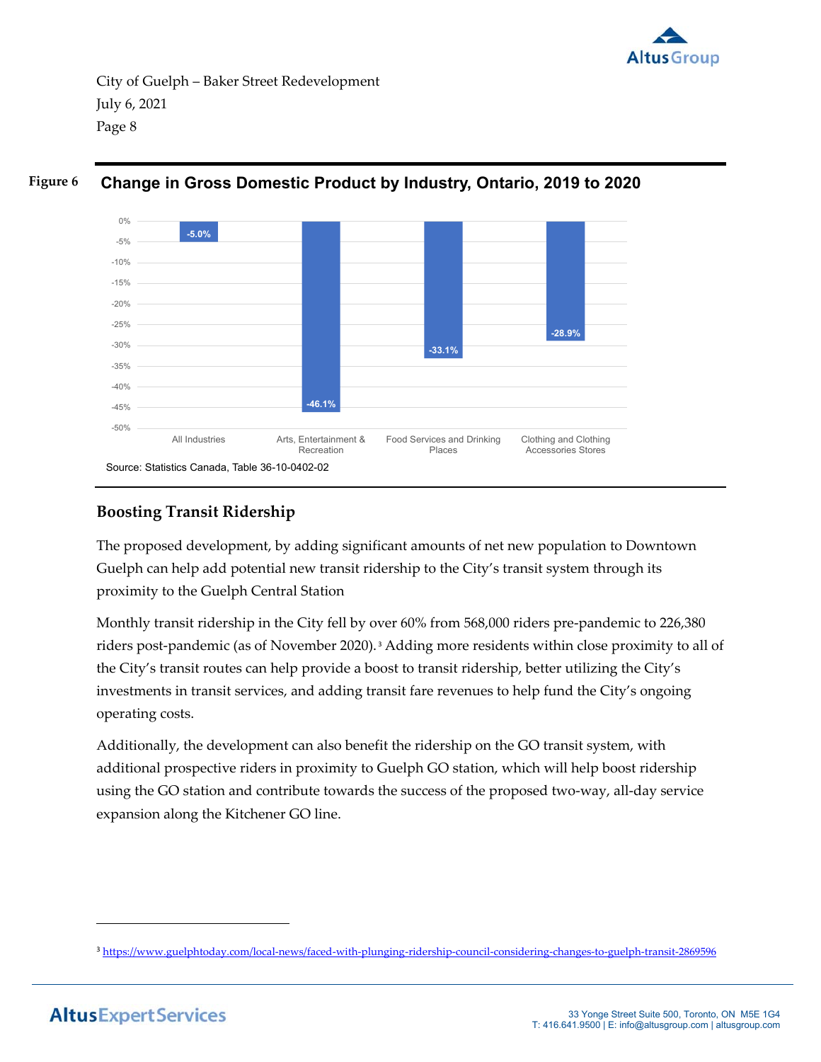



#### **Change in Gross Domestic Product by Industry, Ontario, 2019 to 2020 Figure 6**

# **Boosting Transit Ridership**

The proposed development, by adding significant amounts of net new population to Downtown Guelph can help add potential new transit ridership to the City's transit system through its proximity to the Guelph Central Station

Monthly transit ridership in the City fell by over 60% from 568,000 riders pre‐pandemic to 226,380 riders post-pandemic (as of November 2020).<sup>3</sup> Adding more residents within close proximity to all of the City's transit routes can help provide a boost to transit ridership, better utilizing the City's investments in transit services, and adding transit fare revenues to help fund the City's ongoing operating costs.

Additionally, the development can also benefit the ridership on the GO transit system, with additional prospective riders in proximity to Guelph GO station, which will help boost ridership using the GO station and contribute towards the success of the proposed two‐way, all‐day service expansion along the Kitchener GO line.

<sup>3</sup> https://www.guelphtoday.com/local-news/faced-with-plunging-ridership-council-considering-changes-to-guelph-transit-2869596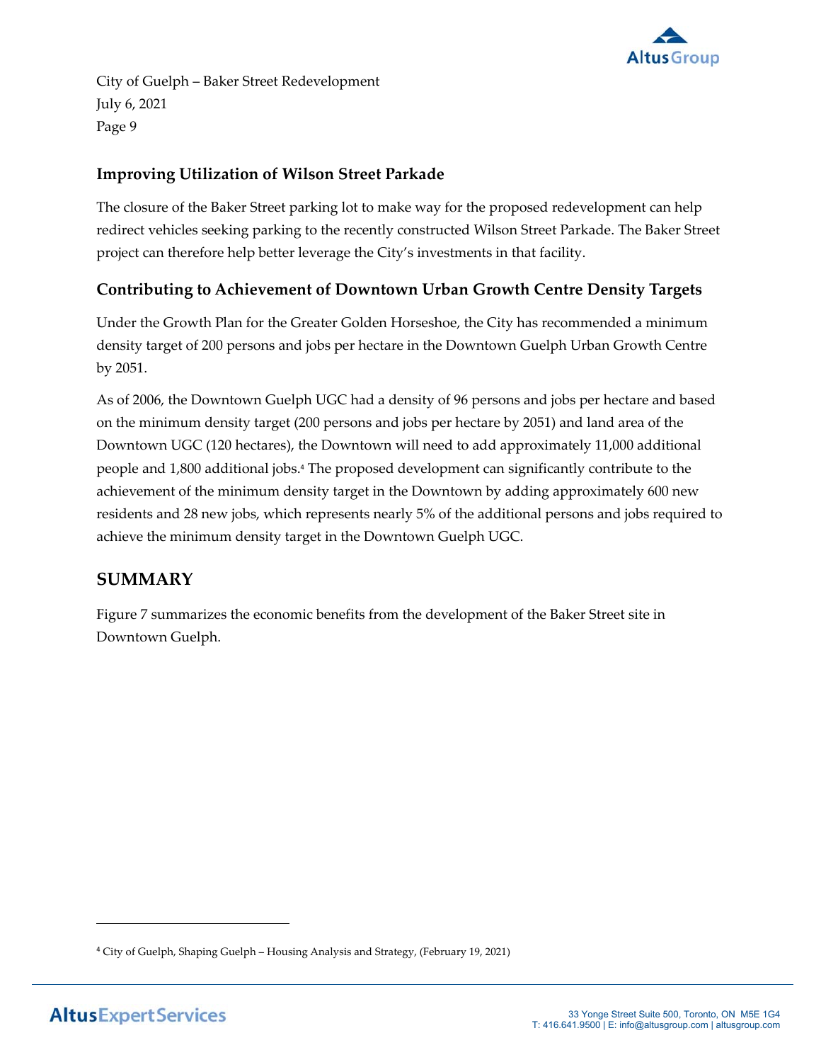

# **Improving Utilization of Wilson Street Parkade**

The closure of the Baker Street parking lot to make way for the proposed redevelopment can help redirect vehicles seeking parking to the recently constructed Wilson Street Parkade. The Baker Street project can therefore help better leverage the City's investments in that facility.

# **Contributing to Achievement of Downtown Urban Growth Centre Density Targets**

Under the Growth Plan for the Greater Golden Horseshoe, the City has recommended a minimum density target of 200 persons and jobs per hectare in the Downtown Guelph Urban Growth Centre by 2051.

As of 2006, the Downtown Guelph UGC had a density of 96 persons and jobs per hectare and based on the minimum density target (200 persons and jobs per hectare by 2051) and land area of the Downtown UGC (120 hectares), the Downtown will need to add approximately 11,000 additional people and 1,800 additional jobs.<sup>4</sup> The proposed development can significantly contribute to the achievement of the minimum density target in the Downtown by adding approximately 600 new residents and 28 new jobs, which represents nearly 5% of the additional persons and jobs required to achieve the minimum density target in the Downtown Guelph UGC.

# **SUMMARY**

Figure 7 summarizes the economic benefits from the development of the Baker Street site in Downtown Guelph.

<sup>4</sup> City of Guelph, Shaping Guelph – Housing Analysis and Strategy, (February 19, 2021)